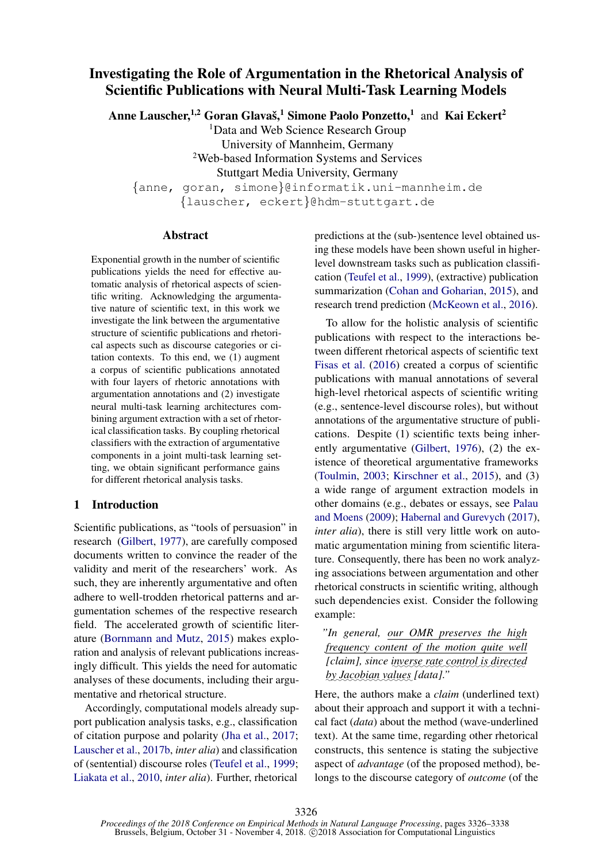# Investigating the Role of Argumentation in the Rhetorical Analysis of Scientific Publications with Neural Multi-Task Learning Models

Anne Lauscher,<sup>1,2</sup> Goran Glavaš,<sup>1</sup> Simone Paolo Ponzetto,<sup>1</sup> and Kai Eckert<sup>2</sup>

<sup>1</sup>Data and Web Science Research Group

University of Mannheim, Germany

<sup>2</sup>Web-based Information Systems and Services

Stuttgart Media University, Germany

{anne, goran, simone}@informatik.uni-mannheim.de

{lauscher, eckert}@hdm-stuttgart.de

# Abstract

Exponential growth in the number of scientific publications yields the need for effective automatic analysis of rhetorical aspects of scientific writing. Acknowledging the argumentative nature of scientific text, in this work we investigate the link between the argumentative structure of scientific publications and rhetorical aspects such as discourse categories or citation contexts. To this end, we (1) augment a corpus of scientific publications annotated with four layers of rhetoric annotations with argumentation annotations and (2) investigate neural multi-task learning architectures combining argument extraction with a set of rhetorical classification tasks. By coupling rhetorical classifiers with the extraction of argumentative components in a joint multi-task learning setting, we obtain significant performance gains for different rhetorical analysis tasks.

# 1 Introduction

Scientific publications, as "tools of persuasion" in research [\(Gilbert,](#page-9-0) [1977\)](#page-9-0), are carefully composed documents written to convince the reader of the validity and merit of the researchers' work. As such, they are inherently argumentative and often adhere to well-trodden rhetorical patterns and argumentation schemes of the respective research field. The accelerated growth of scientific literature [\(Bornmann and Mutz,](#page-9-1) [2015\)](#page-9-1) makes exploration and analysis of relevant publications increasingly difficult. This yields the need for automatic analyses of these documents, including their argumentative and rhetorical structure.

Accordingly, computational models already support publication analysis tasks, e.g., classification of citation purpose and polarity [\(Jha et al.,](#page-10-0) [2017;](#page-10-0) [Lauscher et al.,](#page-10-1) [2017b,](#page-10-1) *inter alia*) and classification of (sentential) discourse roles [\(Teufel et al.,](#page-11-0) [1999;](#page-11-0) [Liakata et al.,](#page-10-2) [2010,](#page-10-2) *inter alia*). Further, rhetorical

predictions at the (sub-)sentence level obtained using these models have been shown useful in higherlevel downstream tasks such as publication classification [\(Teufel et al.,](#page-11-0) [1999\)](#page-11-0), (extractive) publication summarization [\(Cohan and Goharian,](#page-9-2) [2015\)](#page-9-2), and research trend prediction [\(McKeown et al.,](#page-10-3) [2016\)](#page-10-3).

To allow for the holistic analysis of scientific publications with respect to the interactions between different rhetorical aspects of scientific text [Fisas et al.](#page-9-3) [\(2016\)](#page-9-3) created a corpus of scientific publications with manual annotations of several high-level rhetorical aspects of scientific writing (e.g., sentence-level discourse roles), but without annotations of the argumentative structure of publications. Despite (1) scientific texts being inherently argumentative [\(Gilbert,](#page-9-4) [1976\)](#page-9-4), (2) the existence of theoretical argumentative frameworks [\(Toulmin,](#page-11-1) [2003;](#page-11-1) [Kirschner et al.,](#page-10-4) [2015\)](#page-10-4), and (3) a wide range of argument extraction models in other domains (e.g., debates or essays, see [Palau](#page-11-2) [and Moens](#page-11-2) [\(2009\)](#page-11-2); [Habernal and Gurevych](#page-10-5) [\(2017\)](#page-10-5), *inter alia*), there is still very little work on automatic argumentation mining from scientific literature. Consequently, there has been no work analyzing associations between argumentation and other rhetorical constructs in scientific writing, although such dependencies exist. Consider the following example:

*"In general, our OMR preserves the high frequency content of the motion quite well [claim], since inverse rate control is directed* by Jacobian values [data]."

Here, the authors make a *claim* (underlined text) about their approach and support it with a technical fact (*data*) about the method (wave-underlined text). At the same time, regarding other rhetorical constructs, this sentence is stating the subjective aspect of *advantage* (of the proposed method), belongs to the discourse category of *outcome* (of the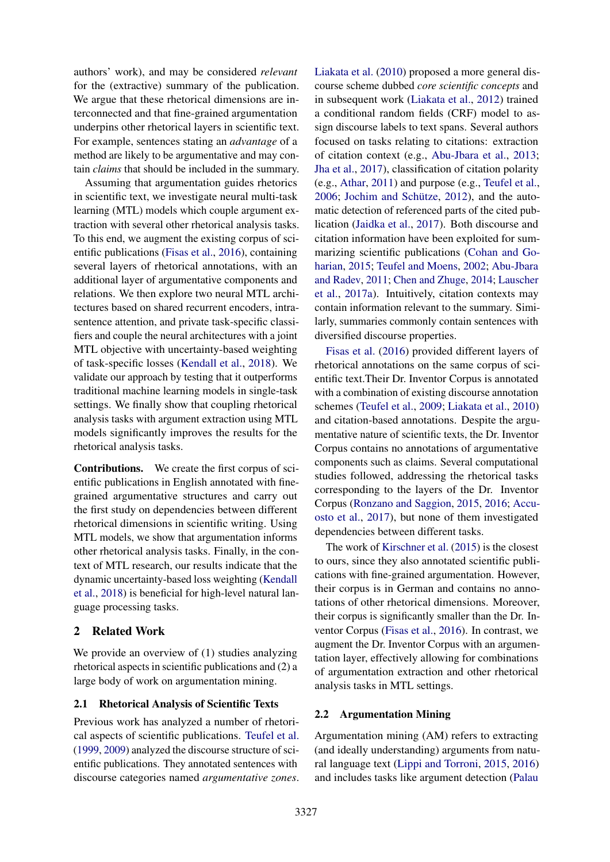authors' work), and may be considered *relevant* for the (extractive) summary of the publication. We argue that these rhetorical dimensions are interconnected and that fine-grained argumentation underpins other rhetorical layers in scientific text. For example, sentences stating an *advantage* of a method are likely to be argumentative and may contain *claims* that should be included in the summary.

Assuming that argumentation guides rhetorics in scientific text, we investigate neural multi-task learning (MTL) models which couple argument extraction with several other rhetorical analysis tasks. To this end, we augment the existing corpus of scientific publications [\(Fisas et al.,](#page-9-3) [2016\)](#page-9-3), containing several layers of rhetorical annotations, with an additional layer of argumentative components and relations. We then explore two neural MTL architectures based on shared recurrent encoders, intrasentence attention, and private task-specific classifiers and couple the neural architectures with a joint MTL objective with uncertainty-based weighting of task-specific losses [\(Kendall et al.,](#page-10-6) [2018\)](#page-10-6). We validate our approach by testing that it outperforms traditional machine learning models in single-task settings. We finally show that coupling rhetorical analysis tasks with argument extraction using MTL models significantly improves the results for the rhetorical analysis tasks.

Contributions. We create the first corpus of scientific publications in English annotated with finegrained argumentative structures and carry out the first study on dependencies between different rhetorical dimensions in scientific writing. Using MTL models, we show that argumentation informs other rhetorical analysis tasks. Finally, in the context of MTL research, our results indicate that the dynamic uncertainty-based loss weighting [\(Kendall](#page-10-6) [et al.,](#page-10-6) [2018\)](#page-10-6) is beneficial for high-level natural language processing tasks.

# 2 Related Work

We provide an overview of  $(1)$  studies analyzing rhetorical aspects in scientific publications and (2) a large body of work on argumentation mining.

# 2.1 Rhetorical Analysis of Scientific Texts

Previous work has analyzed a number of rhetorical aspects of scientific publications. [Teufel et al.](#page-11-0) [\(1999,](#page-11-0) [2009\)](#page-11-3) analyzed the discourse structure of scientific publications. They annotated sentences with discourse categories named *argumentative zones*.

[Liakata et al.](#page-10-2) [\(2010\)](#page-10-2) proposed a more general discourse scheme dubbed *core scientific concepts* and in subsequent work [\(Liakata et al.,](#page-10-7) [2012\)](#page-10-7) trained a conditional random fields (CRF) model to assign discourse labels to text spans. Several authors focused on tasks relating to citations: extraction of citation context (e.g., [Abu-Jbara et al.,](#page-9-5) [2013;](#page-9-5) [Jha et al.,](#page-10-0) [2017\)](#page-10-0), classification of citation polarity (e.g., [Athar,](#page-9-6) [2011\)](#page-9-6) and purpose (e.g., [Teufel et al.,](#page-11-4) [2006;](#page-11-4) Jochim and Schütze,  $2012$ ), and the automatic detection of referenced parts of the cited publication [\(Jaidka et al.,](#page-10-9) [2017\)](#page-10-9). Both discourse and citation information have been exploited for summarizing scientific publications [\(Cohan and Go](#page-9-2)[harian,](#page-9-2) [2015;](#page-9-2) [Teufel and Moens,](#page-11-5) [2002;](#page-11-5) [Abu-Jbara](#page-9-7) [and Radev,](#page-9-7) [2011;](#page-9-7) [Chen and Zhuge,](#page-9-8) [2014;](#page-9-8) [Lauscher](#page-10-10) [et al.,](#page-10-10) [2017a\)](#page-10-10). Intuitively, citation contexts may contain information relevant to the summary. Similarly, summaries commonly contain sentences with diversified discourse properties.

[Fisas et al.](#page-9-3) [\(2016\)](#page-9-3) provided different layers of rhetorical annotations on the same corpus of scientific text.Their Dr. Inventor Corpus is annotated with a combination of existing discourse annotation schemes [\(Teufel et al.,](#page-11-3) [2009;](#page-11-3) [Liakata et al.,](#page-10-2) [2010\)](#page-10-2) and citation-based annotations. Despite the argumentative nature of scientific texts, the Dr. Inventor Corpus contains no annotations of argumentative components such as claims. Several computational studies followed, addressing the rhetorical tasks corresponding to the layers of the Dr. Inventor Corpus [\(Ronzano and Saggion,](#page-11-6) [2015,](#page-11-6) [2016;](#page-11-7) [Accu](#page-9-9)[osto et al.,](#page-9-9) [2017\)](#page-9-9), but none of them investigated dependencies between different tasks.

The work of [Kirschner et al.](#page-10-4) [\(2015\)](#page-10-4) is the closest to ours, since they also annotated scientific publications with fine-grained argumentation. However, their corpus is in German and contains no annotations of other rhetorical dimensions. Moreover, their corpus is significantly smaller than the Dr. Inventor Corpus [\(Fisas et al.,](#page-9-3) [2016\)](#page-9-3). In contrast, we augment the Dr. Inventor Corpus with an argumentation layer, effectively allowing for combinations of argumentation extraction and other rhetorical analysis tasks in MTL settings.

# 2.2 Argumentation Mining

Argumentation mining (AM) refers to extracting (and ideally understanding) arguments from natural language text [\(Lippi and Torroni,](#page-10-11) [2015,](#page-10-11) [2016\)](#page-10-12) and includes tasks like argument detection [\(Palau](#page-11-2)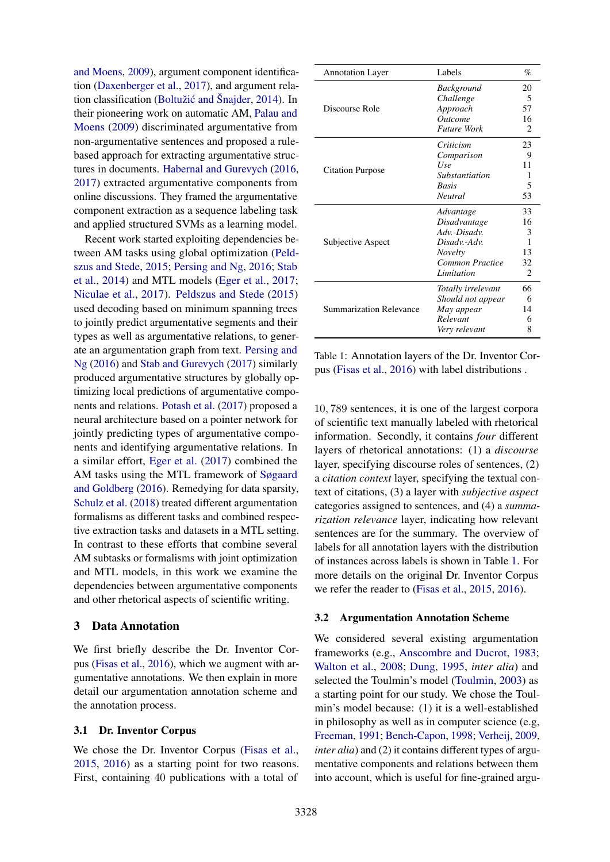[and Moens,](#page-11-2) [2009\)](#page-11-2), argument component identification [\(Daxenberger et al.,](#page-9-10) [2017\)](#page-9-10), and argument rela-tion classification (Boltužić and Šnajder, [2014\)](#page-9-11). In their pioneering work on automatic AM, [Palau and](#page-11-2) [Moens](#page-11-2) [\(2009\)](#page-11-2) discriminated argumentative from non-argumentative sentences and proposed a rulebased approach for extracting argumentative structures in documents. [Habernal and Gurevych](#page-10-13) [\(2016,](#page-10-13) [2017\)](#page-10-5) extracted argumentative components from online discussions. They framed the argumentative component extraction as a sequence labeling task and applied structured SVMs as a learning model.

Recent work started exploiting dependencies between AM tasks using global optimization [\(Peld](#page-11-8)[szus and Stede,](#page-11-8) [2015;](#page-11-8) [Persing and Ng,](#page-11-9) [2016;](#page-11-9) [Stab](#page-11-10) [et al.,](#page-11-10) [2014\)](#page-11-10) and MTL models [\(Eger et al.,](#page-9-12) [2017;](#page-9-12) [Niculae et al.,](#page-10-14) [2017\)](#page-10-14). [Peldszus and Stede](#page-11-8) [\(2015\)](#page-11-8) used decoding based on minimum spanning trees to jointly predict argumentative segments and their types as well as argumentative relations, to generate an argumentation graph from text. [Persing and](#page-11-9) [Ng](#page-11-9) [\(2016\)](#page-11-9) and [Stab and Gurevych](#page-11-11) [\(2017\)](#page-11-11) similarly produced argumentative structures by globally optimizing local predictions of argumentative components and relations. [Potash et al.](#page-11-12) [\(2017\)](#page-11-12) proposed a neural architecture based on a pointer network for jointly predicting types of argumentative components and identifying argumentative relations. In a similar effort, [Eger et al.](#page-9-12) [\(2017\)](#page-9-12) combined the AM tasks using the MTL framework of [Søgaard](#page-11-13) [and Goldberg](#page-11-13) [\(2016\)](#page-11-13). Remedying for data sparsity, [Schulz et al.](#page-11-14) [\(2018\)](#page-11-14) treated different argumentation formalisms as different tasks and combined respective extraction tasks and datasets in a MTL setting. In contrast to these efforts that combine several AM subtasks or formalisms with joint optimization and MTL models, in this work we examine the dependencies between argumentative components and other rhetorical aspects of scientific writing.

# 3 Data Annotation

We first briefly describe the Dr. Inventor Corpus [\(Fisas et al.,](#page-9-3) [2016\)](#page-9-3), which we augment with argumentative annotations. We then explain in more detail our argumentation annotation scheme and the annotation process.

#### 3.1 Dr. Inventor Corpus

We chose the Dr. Inventor Corpus [\(Fisas et al.,](#page-9-13) [2015,](#page-9-13) [2016\)](#page-9-3) as a starting point for two reasons. First, containing 40 publications with a total of

<span id="page-2-0"></span>

| <b>Annotation Layer</b> | Labels                | $\%$           |
|-------------------------|-----------------------|----------------|
|                         | <b>Background</b>     | 20             |
| Discourse Role          | Challenge             | 5              |
|                         | Approach              | 57             |
|                         | <i><u>Outcome</u></i> | 16             |
|                         | <b>Future Work</b>    | $\mathfrak{D}$ |
|                         | Criticism             | 23             |
|                         | Comparison            | 9              |
| <b>Citation Purpose</b> | Use                   | 11             |
|                         | Substantiation        | 1              |
|                         | <b>Basis</b>          | 5              |
|                         | <b>Neutral</b>        | 53             |
|                         | Advantage             | 33             |
|                         | Disadvantage          | 16             |
|                         | $Adv$ -Disadv         | 3              |
| Subjective Aspect       | Disadv.-Adv.          | 1              |
|                         | Novelty               | 13             |
|                         | Common Practice       | 32             |
|                         | Limitation            | 2              |
|                         | Totally irrelevant    | 66             |
|                         | Should not appear     | 6              |
| Summarization Relevance | May appear            | 14             |
|                         | Relevant              | 6              |
|                         | Very relevant         | 8              |

Table 1: Annotation layers of the Dr. Inventor Corpus [\(Fisas et al.,](#page-9-3) [2016\)](#page-9-3) with label distributions .

10, 789 sentences, it is one of the largest corpora of scientific text manually labeled with rhetorical information. Secondly, it contains *four* different layers of rhetorical annotations: (1) a *discourse* layer, specifying discourse roles of sentences, (2) a *citation context* layer, specifying the textual context of citations, (3) a layer with *subjective aspect* categories assigned to sentences, and (4) a *summarization relevance* layer, indicating how relevant sentences are for the summary. The overview of labels for all annotation layers with the distribution of instances across labels is shown in Table [1.](#page-2-0) For more details on the original Dr. Inventor Corpus we refer the reader to [\(Fisas et al.,](#page-9-13) [2015,](#page-9-13) [2016\)](#page-9-3).

#### 3.2 Argumentation Annotation Scheme

We considered several existing argumentation frameworks (e.g., [Anscombre and Ducrot,](#page-9-14) [1983;](#page-9-14) [Walton et al.,](#page-11-15) [2008;](#page-11-15) [Dung,](#page-9-15) [1995,](#page-9-15) *inter alia*) and selected the Toulmin's model [\(Toulmin,](#page-11-1) [2003\)](#page-11-1) as a starting point for our study. We chose the Toulmin's model because: (1) it is a well-established in philosophy as well as in computer science (e.g, [Freeman,](#page-9-16) [1991;](#page-9-16) [Bench-Capon,](#page-9-17) [1998;](#page-9-17) [Verheij,](#page-11-16) [2009,](#page-11-16) *inter alia*) and (2) it contains different types of argumentative components and relations between them into account, which is useful for fine-grained argu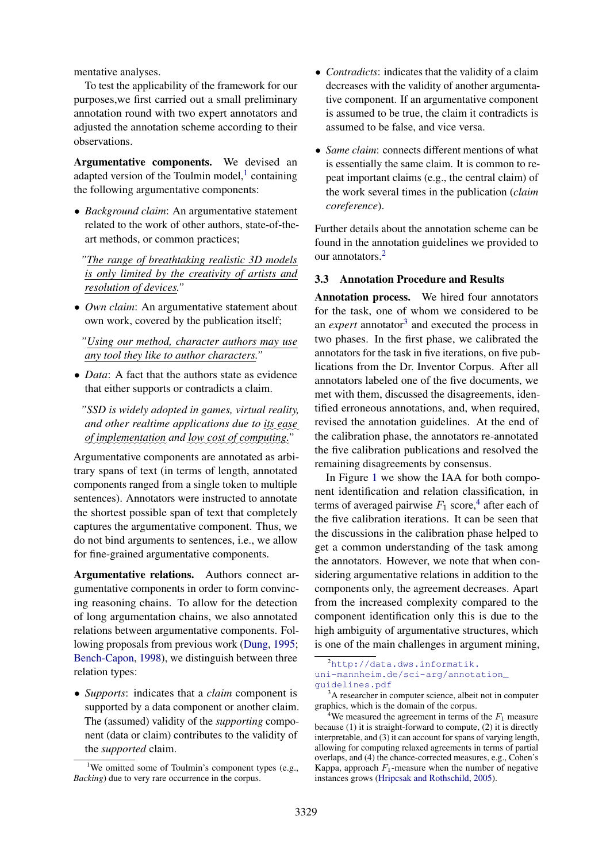mentative analyses.

To test the applicability of the framework for our purposes,we first carried out a small preliminary annotation round with two expert annotators and adjusted the annotation scheme according to their observations.

Argumentative components. We devised an adapted version of the Toulmin model, $<sup>1</sup>$  $<sup>1</sup>$  $<sup>1</sup>$  containing</sup> the following argumentative components:

• *Background claim*: An argumentative statement related to the work of other authors, state-of-theart methods, or common practices;

*"The range of breathtaking realistic 3D models is only limited by the creativity of artists and resolution of devices."*

• *Own claim*: An argumentative statement about own work, covered by the publication itself;

*"Using our method, character authors may use any tool they like to author characters."*

• *Data*: A fact that the authors state as evidence that either supports or contradicts a claim.

*"SSD is widely adopted in games, virtual reality,*  $\alpha$  and other realtime applications due to <u>its</u> ease ✿✿ *of* ✿✿✿✿✿✿✿✿✿✿✿✿✿✿ *implementation and* ✿✿✿ *low*✿✿✿✿ *cost*✿✿✿ *of* ✿✿✿✿✿✿✿✿✿✿ *computing."*

Argumentative components are annotated as arbitrary spans of text (in terms of length, annotated components ranged from a single token to multiple sentences). Annotators were instructed to annotate the shortest possible span of text that completely captures the argumentative component. Thus, we do not bind arguments to sentences, i.e., we allow for fine-grained argumentative components.

Argumentative relations. Authors connect argumentative components in order to form convincing reasoning chains. To allow for the detection of long argumentation chains, we also annotated relations between argumentative components. Following proposals from previous work [\(Dung,](#page-9-15) [1995;](#page-9-15) [Bench-Capon,](#page-9-17) [1998\)](#page-9-17), we distinguish between three relation types:

• *Supports*: indicates that a *claim* component is supported by a data component or another claim. The (assumed) validity of the *supporting* component (data or claim) contributes to the validity of the *supported* claim.

- *Contradicts*: indicates that the validity of a claim decreases with the validity of another argumentative component. If an argumentative component is assumed to be true, the claim it contradicts is assumed to be false, and vice versa.
- *Same claim:* connects different mentions of what is essentially the same claim. It is common to repeat important claims (e.g., the central claim) of the work several times in the publication (*claim coreference*).

Further details about the annotation scheme can be found in the annotation guidelines we provided to our annotators.[2](#page-3-1)

#### 3.3 Annotation Procedure and Results

Annotation process. We hired four annotators for the task, one of whom we considered to be an *expert* annotator<sup>[3](#page-3-2)</sup> and executed the process in two phases. In the first phase, we calibrated the annotators for the task in five iterations, on five publications from the Dr. Inventor Corpus. After all annotators labeled one of the five documents, we met with them, discussed the disagreements, identified erroneous annotations, and, when required, revised the annotation guidelines. At the end of the calibration phase, the annotators re-annotated the five calibration publications and resolved the remaining disagreements by consensus.

In Figure [1](#page-4-0) we show the IAA for both component identification and relation classification, in terms of averaged pairwise  $F_1$  score,<sup>[4](#page-3-3)</sup> after each of the five calibration iterations. It can be seen that the discussions in the calibration phase helped to get a common understanding of the task among the annotators. However, we note that when considering argumentative relations in addition to the components only, the agreement decreases. Apart from the increased complexity compared to the component identification only this is due to the high ambiguity of argumentative structures, which is one of the main challenges in argument mining,

<span id="page-3-0"></span><sup>&</sup>lt;sup>1</sup>We omitted some of Toulmin's component types (e.g., *Backing*) due to very rare occurrence in the corpus.

<span id="page-3-1"></span> $^{2}$ [http://data.dws.informatik.](http://data.dws.informatik.uni-mannheim.de/sci-arg/annotation_guidelines.pdf) [uni-mannheim.de/sci-arg/annotation\\_](http://data.dws.informatik.uni-mannheim.de/sci-arg/annotation_guidelines.pdf) [guidelines.pdf](http://data.dws.informatik.uni-mannheim.de/sci-arg/annotation_guidelines.pdf)

<span id="page-3-2"></span> $3A$  researcher in computer science, albeit not in computer graphics, which is the domain of the corpus.

<span id="page-3-3"></span><sup>&</sup>lt;sup>4</sup>We measured the agreement in terms of the  $F_1$  measure because (1) it is straight-forward to compute, (2) it is directly interpretable, and (3) it can account for spans of varying length, allowing for computing relaxed agreements in terms of partial overlaps, and (4) the chance-corrected measures, e.g., Cohen's Kappa, approach  $F_1$ -measure when the number of negative instances grows [\(Hripcsak and Rothschild,](#page-10-15) [2005\)](#page-10-15).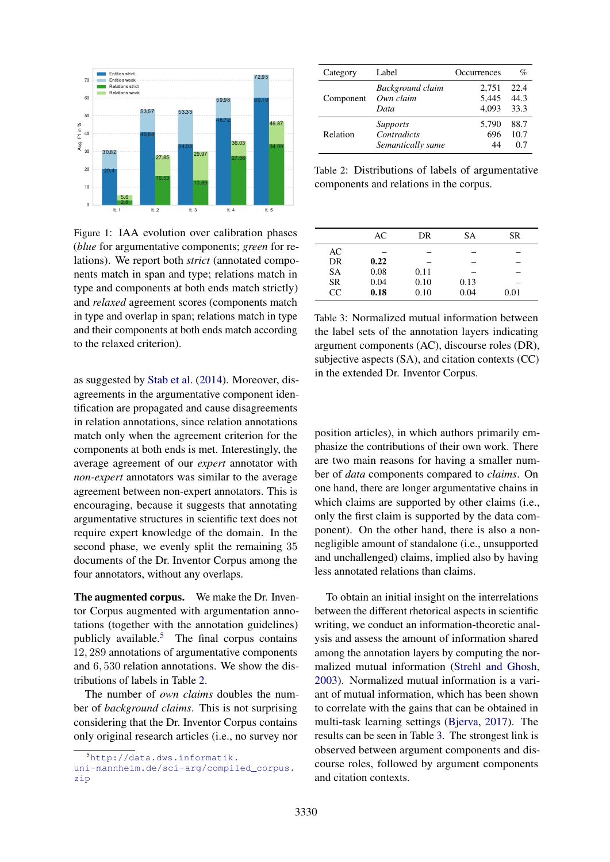<span id="page-4-0"></span>

Figure 1: IAA evolution over calibration phases (*blue* for argumentative components; *green* for relations). We report both *strict* (annotated components match in span and type; relations match in type and components at both ends match strictly) and *relaxed* agreement scores (components match in type and overlap in span; relations match in type and their components at both ends match according to the relaxed criterion).

as suggested by [Stab et al.](#page-11-10) [\(2014\)](#page-11-10). Moreover, disagreements in the argumentative component identification are propagated and cause disagreements in relation annotations, since relation annotations match only when the agreement criterion for the components at both ends is met. Interestingly, the average agreement of our *expert* annotator with *non-expert* annotators was similar to the average agreement between non-expert annotators. This is encouraging, because it suggests that annotating argumentative structures in scientific text does not require expert knowledge of the domain. In the second phase, we evenly split the remaining 35 documents of the Dr. Inventor Corpus among the four annotators, without any overlaps.

The augmented corpus. We make the Dr. Inventor Corpus augmented with argumentation annotations (together with the annotation guidelines) publicly available.[5](#page-4-1) The final corpus contains 12, 289 annotations of argumentative components and 6, 530 relation annotations. We show the distributions of labels in Table [2.](#page-4-2)

The number of *own claims* doubles the number of *background claims*. This is not surprising considering that the Dr. Inventor Corpus contains only original research articles (i.e., no survey nor

<span id="page-4-2"></span>

| Category  | Label             | Occurrences | $\%$ |
|-----------|-------------------|-------------|------|
| Component | Background claim  | 2,751       | 22.4 |
|           | Own claim         | 5,445       | 44.3 |
|           | Data              | 4.093       | 33.3 |
| Relation  | Supports          | 5.790       | 88.7 |
|           | Contradicts       | 696         | 10.7 |
|           | Semantically same | 44          | 07   |

Table 2: Distributions of labels of argumentative components and relations in the corpus.

<span id="page-4-3"></span>

|           | AC   | DR   | SА   | SR   |
|-----------|------|------|------|------|
| AC        |      |      |      |      |
| DR.       | 0.22 |      |      |      |
| <b>SA</b> | 0.08 | 0.11 |      |      |
| <b>SR</b> | 0.04 | 0.10 | 0.13 |      |
| CC        | 0.18 | 0.10 | 0.04 | 0.01 |

Table 3: Normalized mutual information between the label sets of the annotation layers indicating argument components (AC), discourse roles (DR), subjective aspects (SA), and citation contexts (CC) in the extended Dr. Inventor Corpus.

position articles), in which authors primarily emphasize the contributions of their own work. There are two main reasons for having a smaller number of *data* components compared to *claims*. On one hand, there are longer argumentative chains in which claims are supported by other claims (*i.e.*, only the first claim is supported by the data component). On the other hand, there is also a nonnegligible amount of standalone (i.e., unsupported and unchallenged) claims, implied also by having less annotated relations than claims.

To obtain an initial insight on the interrelations between the different rhetorical aspects in scientific writing, we conduct an information-theoretic analysis and assess the amount of information shared among the annotation layers by computing the normalized mutual information [\(Strehl and Ghosh,](#page-11-17) [2003\)](#page-11-17). Normalized mutual information is a variant of mutual information, which has been shown to correlate with the gains that can be obtained in multi-task learning settings [\(Bjerva,](#page-9-18) [2017\)](#page-9-18). The results can be seen in Table [3.](#page-4-3) The strongest link is observed between argument components and discourse roles, followed by argument components and citation contexts.

<span id="page-4-1"></span><sup>5</sup>[http://data.dws.informatik.](http://data.dws.informatik.uni-mannheim.de/sci-arg/compiled_corpus.zip)

[uni-mannheim.de/sci-arg/compiled\\_corpus.](http://data.dws.informatik.uni-mannheim.de/sci-arg/compiled_corpus.zip) [zip](http://data.dws.informatik.uni-mannheim.de/sci-arg/compiled_corpus.zip)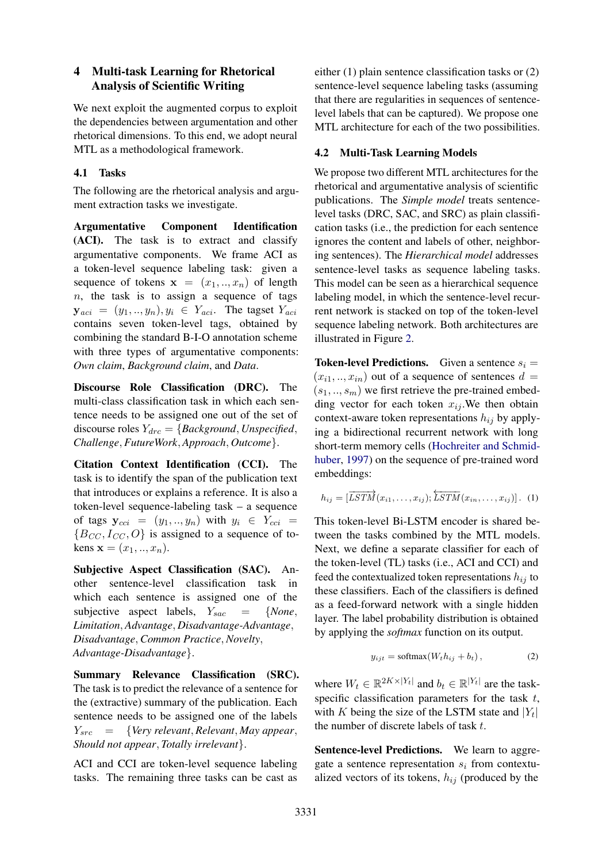# 4 Multi-task Learning for Rhetorical Analysis of Scientific Writing

We next exploit the augmented corpus to exploit the dependencies between argumentation and other rhetorical dimensions. To this end, we adopt neural MTL as a methodological framework.

# 4.1 Tasks

The following are the rhetorical analysis and argument extraction tasks we investigate.

Argumentative Component Identification (ACI). The task is to extract and classify argumentative components. We frame ACI as a token-level sequence labeling task: given a sequence of tokens  $x = (x_1, ..., x_n)$  of length  $n$ , the task is to assign a sequence of tags  $y_{aci} = (y_1, ..., y_n), y_i \in Y_{aci}$ . The tagset  $Y_{aci}$ contains seven token-level tags, obtained by combining the standard B-I-O annotation scheme with three types of argumentative components: *Own claim*, *Background claim*, and *Data*.

Discourse Role Classification (DRC). The multi-class classification task in which each sentence needs to be assigned one out of the set of discourse roles  $Y_{\text{drc}} = \{ \text{Background}, \text{Unspecified}, \text{]}$ *Challenge*, *FutureWork*, *Approach*, *Outcome*}.

Citation Context Identification (CCI). The task is to identify the span of the publication text that introduces or explains a reference. It is also a token-level sequence-labeling task – a sequence of tags  $y_{cci} = (y_1, ..., y_n)$  with  $y_i \in Y_{cci}$  ${B_{CC}, I_{CC}, O}$  is assigned to a sequence of tokens  $x = (x_1, ..., x_n)$ .

Subjective Aspect Classification (SAC). Another sentence-level classification task in which each sentence is assigned one of the subjective aspect labels,  $Y_{sac}$  = {*None*, *Limitation*, *Advantage*, *Disadvantage-Advantage*, *Disadvantage*, *Common Practice*, *Novelty*, *Advantage-Disadvantage*}.

Summary Relevance Classification (SRC). The task is to predict the relevance of a sentence for the (extractive) summary of the publication. Each sentence needs to be assigned one of the labels Ysrc = {*Very relevant*, *Relevant*, *May appear*, *Should not appear*, *Totally irrelevant*}.

ACI and CCI are token-level sequence labeling tasks. The remaining three tasks can be cast as

either (1) plain sentence classification tasks or (2) sentence-level sequence labeling tasks (assuming that there are regularities in sequences of sentencelevel labels that can be captured). We propose one MTL architecture for each of the two possibilities.

# 4.2 Multi-Task Learning Models

We propose two different MTL architectures for the rhetorical and argumentative analysis of scientific publications. The *Simple model* treats sentencelevel tasks (DRC, SAC, and SRC) as plain classification tasks (i.e., the prediction for each sentence ignores the content and labels of other, neighboring sentences). The *Hierarchical model* addresses sentence-level tasks as sequence labeling tasks. This model can be seen as a hierarchical sequence labeling model, in which the sentence-level recurrent network is stacked on top of the token-level sequence labeling network. Both architectures are illustrated in Figure [2.](#page-6-0)

**Token-level Predictions.** Given a sentence  $s_i$  =  $(x_{i1},...,x_{in})$  out of a sequence of sentences  $d =$  $(s_1, ..., s_m)$  we first retrieve the pre-trained embedding vector for each token  $x_{ij}$ . We then obtain context-aware token representations  $h_{ij}$  by applying a bidirectional recurrent network with long short-term memory cells [\(Hochreiter and Schmid](#page-10-16)[huber,](#page-10-16) [1997\)](#page-10-16) on the sequence of pre-trained word embeddings:

$$
h_{ij} = \left[\overrightarrow{LSTM}(x_{i1}, \ldots, x_{ij}); \overleftarrow{LSTM}(x_{in}, \ldots, x_{ij})\right]. \quad (1)
$$

This token-level Bi-LSTM encoder is shared between the tasks combined by the MTL models. Next, we define a separate classifier for each of the token-level (TL) tasks (i.e., ACI and CCI) and feed the contextualized token representations  $h_{ij}$  to these classifiers. Each of the classifiers is defined as a feed-forward network with a single hidden layer. The label probability distribution is obtained by applying the *softmax* function on its output.

$$
y_{ijt} = \text{softmax}(W_t h_{ij} + b_t), \qquad (2)
$$

where  $W_t \in \mathbb{R}^{2K \times |Y_t|}$  and  $b_t \in \mathbb{R}^{|Y_t|}$  are the taskspecific classification parameters for the task  $t$ , with K being the size of the LSTM state and  $|Y_t|$ the number of discrete labels of task t.

Sentence-level Predictions. We learn to aggregate a sentence representation  $s_i$  from contextualized vectors of its tokens,  $h_{ij}$  (produced by the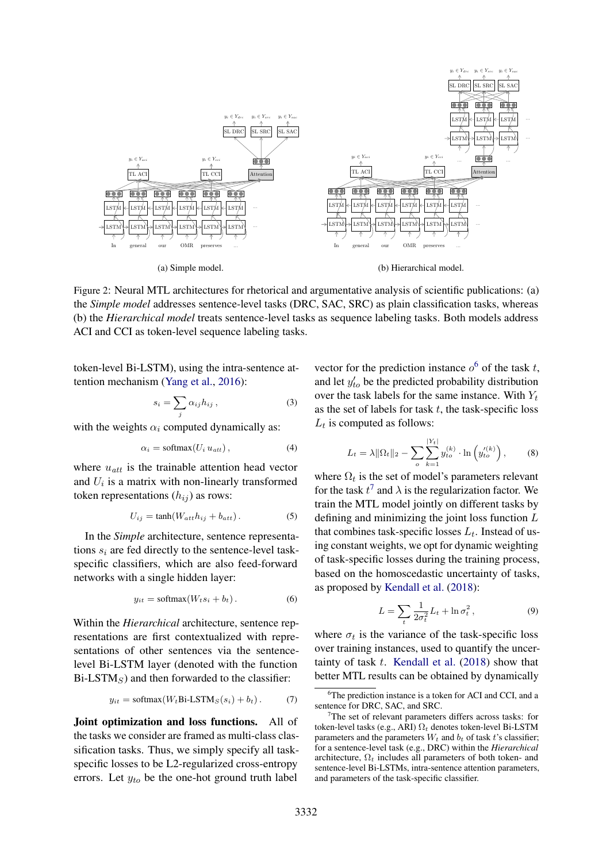<span id="page-6-0"></span>

Figure 2: Neural MTL architectures for rhetorical and argumentative analysis of scientific publications: (a) the *Simple model* addresses sentence-level tasks (DRC, SAC, SRC) as plain classification tasks, whereas (b) the *Hierarchical model* treats sentence-level tasks as sequence labeling tasks. Both models address ACI and CCI as token-level sequence labeling tasks.

token-level Bi-LSTM), using the intra-sentence attention mechanism [\(Yang et al.,](#page-12-0) [2016\)](#page-12-0):

$$
s_i = \sum_j \alpha_{ij} h_{ij} , \qquad (3)
$$

with the weights  $\alpha_i$  computed dynamically as:

$$
\alpha_i = \text{softmax}(U_i u_{att}), \qquad (4)
$$

where  $u_{att}$  is the trainable attention head vector and  $U_i$  is a matrix with non-linearly transformed token representations  $(h_{ij})$  as rows:

$$
U_{ij} = \tanh(W_{att}h_{ij} + b_{att}). \tag{5}
$$

In the *Simple* architecture, sentence representations  $s_i$  are fed directly to the sentence-level taskspecific classifiers, which are also feed-forward networks with a single hidden layer:

$$
y_{it} = \text{softmax}(W_t s_i + b_t). \tag{6}
$$

Within the *Hierarchical* architecture, sentence representations are first contextualized with representations of other sentences via the sentencelevel Bi-LSTM layer (denoted with the function  $Bi-LSTM<sub>S</sub>$ ) and then forwarded to the classifier:

$$
y_{it} = \text{softmax}(W_t \text{Bi-LSTM}_S(s_i) + b_t). \tag{7}
$$

Joint optimization and loss functions. All of the tasks we consider are framed as multi-class classification tasks. Thus, we simply specify all taskspecific losses to be L2-regularized cross-entropy errors. Let  $y_{to}$  be the one-hot ground truth label vector for the prediction instance  $o^6$  $o^6$  of the task t, and let  $y'_{to}$  be the predicted probability distribution over the task labels for the same instance. With  $Y_t$ as the set of labels for task  $t$ , the task-specific loss  $L_t$  is computed as follows:

$$
L_t = \lambda \|\Omega_t\|_2 - \sum_{o} \sum_{k=1}^{|Y_t|} y_{to}^{(k)} \cdot \ln(y_{to}^{\prime(k)}) ,\qquad (8)
$$

where  $\Omega_t$  is the set of model's parameters relevant for the task  $t^7$  $t^7$  and  $\lambda$  is the regularization factor. We train the MTL model jointly on different tasks by defining and minimizing the joint loss function  $L$ that combines task-specific losses  $L_t$ . Instead of using constant weights, we opt for dynamic weighting of task-specific losses during the training process, based on the homoscedastic uncertainty of tasks, as proposed by [Kendall et al.](#page-10-6) [\(2018\)](#page-10-6):

$$
L = \sum_{t} \frac{1}{2\sigma_t^2} L_t + \ln \sigma_t^2, \qquad (9)
$$

where  $\sigma_t$  is the variance of the task-specific loss over training instances, used to quantify the uncertainty of task  $t$ . [Kendall et al.](#page-10-6) [\(2018\)](#page-10-6) show that better MTL results can be obtained by dynamically

<span id="page-6-1"></span><sup>&</sup>lt;sup>6</sup>The prediction instance is a token for ACI and CCI, and a sentence for DRC, SAC, and SRC.

<span id="page-6-2"></span><sup>&</sup>lt;sup>7</sup>The set of relevant parameters differs across tasks: for token-level tasks (e.g., ARI)  $\Omega_t$  denotes token-level Bi-LSTM parameters and the parameters  $W_t$  and  $b_t$  of task t's classifier; for a sentence-level task (e.g., DRC) within the *Hierarchical* architecture,  $\Omega_t$  includes all parameters of both token- and sentence-level Bi-LSTMs, intra-sentence attention parameters, and parameters of the task-specific classifier.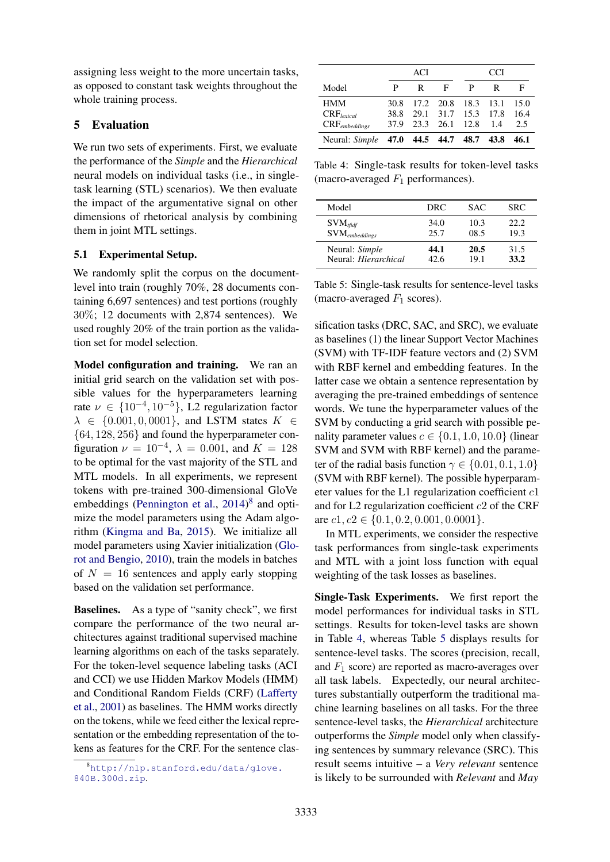assigning less weight to the more uncertain tasks, as opposed to constant task weights throughout the whole training process.

# 5 Evaluation

We run two sets of experiments. First, we evaluate the performance of the *Simple* and the *Hierarchical* neural models on individual tasks (i.e., in singletask learning (STL) scenarios). We then evaluate the impact of the argumentative signal on other dimensions of rhetorical analysis by combining them in joint MTL settings.

# 5.1 Experimental Setup.

We randomly split the corpus on the documentlevel into train (roughly 70%, 28 documents containing 6,697 sentences) and test portions (roughly 30%; 12 documents with 2,874 sentences). We used roughly 20% of the train portion as the validation set for model selection.

Model configuration and training. We ran an initial grid search on the validation set with possible values for the hyperparameters learning rate  $\nu \in \{10^{-4}, 10^{-5}\}, \text{ L2 regularization factor}$  $\lambda \in \{0.001, 0, 0001\}$ , and LSTM states  $K \in$ {64, 128, 256} and found the hyperparameter configuration  $\nu = 10^{-4}$ ,  $\lambda = 0.001$ , and  $K = 128$ to be optimal for the vast majority of the STL and MTL models. In all experiments, we represent tokens with pre-trained 300-dimensional GloVe embeddings [\(Pennington et al.,](#page-11-18) [2014\)](#page-11-18)<sup>[8](#page-7-0)</sup> and optimize the model parameters using the Adam algorithm [\(Kingma and Ba,](#page-10-17) [2015\)](#page-10-17). We initialize all model parameters using Xavier initialization [\(Glo](#page-9-19)[rot and Bengio,](#page-9-19) [2010\)](#page-9-19), train the models in batches of  $N = 16$  sentences and apply early stopping based on the validation set performance.

Baselines. As a type of "sanity check", we first compare the performance of the two neural architectures against traditional supervised machine learning algorithms on each of the tasks separately. For the token-level sequence labeling tasks (ACI and CCI) we use Hidden Markov Models (HMM) and Conditional Random Fields (CRF) [\(Lafferty](#page-10-18) [et al.,](#page-10-18) [2001\)](#page-10-18) as baselines. The HMM works directly on the tokens, while we feed either the lexical representation or the embedding representation of the tokens as features for the CRF. For the sentence clas-

<span id="page-7-1"></span>

|                                         | ACI  |   |                     | CCI                 |     |      |
|-----------------------------------------|------|---|---------------------|---------------------|-----|------|
| Model                                   | P    | R | F                   | P                   | R   | F    |
| <b>HMM</b>                              | 30.8 |   |                     | 17.2 20.8 18.3 13.1 |     | 15.0 |
| $CRF_{period}$                          | 38.8 |   |                     | 29.1 31.7 15.3 17.8 |     | 16.4 |
| $CRF_{embeddings}$                      |      |   | 37.9 23.3 26.1 12.8 |                     | 1.4 | 2.5  |
| Neural: Simple 47.0 44.5 44.7 48.7 43.8 |      |   |                     |                     |     | 46.1 |

Table 4: Single-task results for token-level tasks (macro-averaged  $F_1$  performances).

<span id="page-7-2"></span>

| Model                       | DRC  | SAC. | SRC. |
|-----------------------------|------|------|------|
| $\text{SVM}_{\text{tfidf}}$ | 34.0 | 10.3 | 22.2 |
| $\text{SVM}_{embeddings}$   | 25.7 | 08.5 | 19.3 |
| Neural: Simple              | 44.1 | 20.5 | 31.5 |
| Neural: <i>Hierarchical</i> | 42.6 | 19.1 | 33.2 |

Table 5: Single-task results for sentence-level tasks (macro-averaged  $F_1$  scores).

sification tasks (DRC, SAC, and SRC), we evaluate as baselines (1) the linear Support Vector Machines (SVM) with TF-IDF feature vectors and (2) SVM with RBF kernel and embedding features. In the latter case we obtain a sentence representation by averaging the pre-trained embeddings of sentence words. We tune the hyperparameter values of the SVM by conducting a grid search with possible penality parameter values  $c \in \{0.1, 1.0, 10.0\}$  (linear SVM and SVM with RBF kernel) and the parameter of the radial basis function  $\gamma \in \{0.01, 0.1, 1.0\}$ (SVM with RBF kernel). The possible hyperparameter values for the L1 regularization coefficient  $c1$ and for L2 regularization coefficient  $c2$  of the CRF are  $c1$ ,  $c2 \in \{0.1, 0.2, 0.001, 0.0001\}.$ 

In MTL experiments, we consider the respective task performances from single-task experiments and MTL with a joint loss function with equal weighting of the task losses as baselines.

Single-Task Experiments. We first report the model performances for individual tasks in STL settings. Results for token-level tasks are shown in Table [4,](#page-7-1) whereas Table [5](#page-7-2) displays results for sentence-level tasks. The scores (precision, recall, and  $F_1$  score) are reported as macro-averages over all task labels. Expectedly, our neural architectures substantially outperform the traditional machine learning baselines on all tasks. For the three sentence-level tasks, the *Hierarchical* architecture outperforms the *Simple* model only when classifying sentences by summary relevance (SRC). This result seems intuitive – a *Very relevant* sentence is likely to be surrounded with *Relevant* and *May*

<span id="page-7-0"></span><sup>8</sup>[http://nlp.stanford.edu/data/glove.](http://nlp.stanford.edu/data/glove.840B.300d.zip) [840B.300d.zip](http://nlp.stanford.edu/data/glove.840B.300d.zip).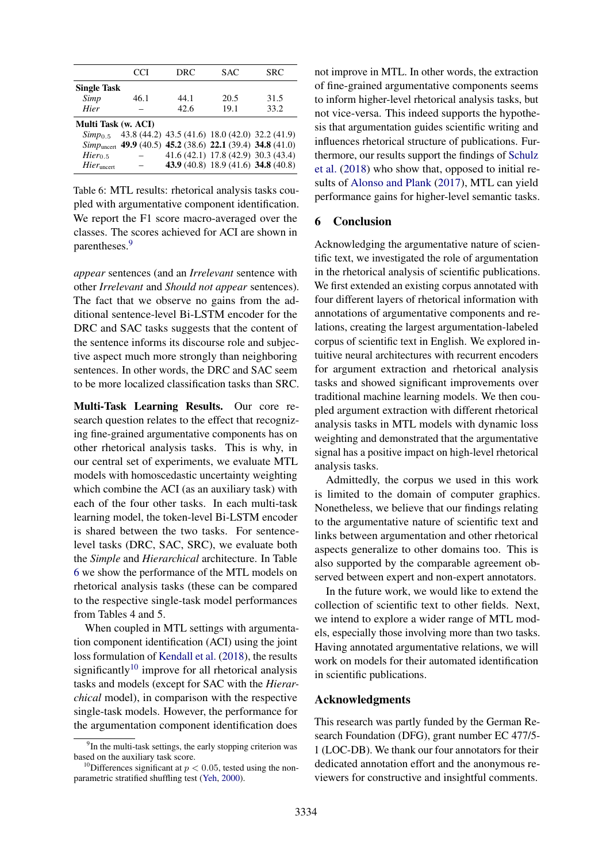<span id="page-8-1"></span>

| DRC<br><b>SAC</b><br><b>SRC</b><br>CCI                        |  |
|---------------------------------------------------------------|--|
|                                                               |  |
| <b>Single Task</b>                                            |  |
| Simp<br>46.1<br>20.5<br>44.1<br>31.5                          |  |
| Hier<br>42.6<br>19.1<br>33.2                                  |  |
| Multi Task (w. ACI)                                           |  |
| $Simp_{0.5}$ 43.8 (44.2) 43.5 (41.6) 18.0 (42.0) 32.2 (41.9)  |  |
| $Simpuncert$ 49.9 (40.5) 45.2 (38.6) 22.1 (39.4) 34.8 (41.0)  |  |
| 41.6 (42.1) 17.8 (42.9) 30.3 (43.4)<br>$Hier_{0.5}$           |  |
| 43.9 (40.8) 18.9 (41.6) 34.8 (40.8)<br>Hier <sub>uncert</sub> |  |

Table 6: MTL results: rhetorical analysis tasks coupled with argumentative component identification. We report the F1 score macro-averaged over the classes. The scores achieved for ACI are shown in parentheses.<sup>[9](#page-8-0)</sup>

*appear* sentences (and an *Irrelevant* sentence with other *Irrelevant* and *Should not appear* sentences). The fact that we observe no gains from the additional sentence-level Bi-LSTM encoder for the DRC and SAC tasks suggests that the content of the sentence informs its discourse role and subjective aspect much more strongly than neighboring sentences. In other words, the DRC and SAC seem to be more localized classification tasks than SRC.

Multi-Task Learning Results. Our core research question relates to the effect that recognizing fine-grained argumentative components has on other rhetorical analysis tasks. This is why, in our central set of experiments, we evaluate MTL models with homoscedastic uncertainty weighting which combine the ACI (as an auxiliary task) with each of the four other tasks. In each multi-task learning model, the token-level Bi-LSTM encoder is shared between the two tasks. For sentencelevel tasks (DRC, SAC, SRC), we evaluate both the *Simple* and *Hierarchical* architecture. In Table [6](#page-8-1) we show the performance of the MTL models on rhetorical analysis tasks (these can be compared to the respective single-task model performances from Tables 4 and 5.

When coupled in MTL settings with argumentation component identification (ACI) using the joint loss formulation of [Kendall et al.](#page-10-6) [\(2018\)](#page-10-6), the results significantly $10$  improve for all rhetorical analysis tasks and models (except for SAC with the *Hierarchical* model), in comparison with the respective single-task models. However, the performance for the argumentation component identification does

not improve in MTL. In other words, the extraction of fine-grained argumentative components seems to inform higher-level rhetorical analysis tasks, but not vice-versa. This indeed supports the hypothesis that argumentation guides scientific writing and influences rhetorical structure of publications. Furthermore, our results support the findings of [Schulz](#page-11-14) [et al.](#page-11-14) [\(2018\)](#page-11-14) who show that, opposed to initial results of [Alonso and Plank](#page-9-20) [\(2017\)](#page-9-20), MTL can yield performance gains for higher-level semantic tasks.

# 6 Conclusion

Acknowledging the argumentative nature of scientific text, we investigated the role of argumentation in the rhetorical analysis of scientific publications. We first extended an existing corpus annotated with four different layers of rhetorical information with annotations of argumentative components and relations, creating the largest argumentation-labeled corpus of scientific text in English. We explored intuitive neural architectures with recurrent encoders for argument extraction and rhetorical analysis tasks and showed significant improvements over traditional machine learning models. We then coupled argument extraction with different rhetorical analysis tasks in MTL models with dynamic loss weighting and demonstrated that the argumentative signal has a positive impact on high-level rhetorical analysis tasks.

Admittedly, the corpus we used in this work is limited to the domain of computer graphics. Nonetheless, we believe that our findings relating to the argumentative nature of scientific text and links between argumentation and other rhetorical aspects generalize to other domains too. This is also supported by the comparable agreement observed between expert and non-expert annotators.

In the future work, we would like to extend the collection of scientific text to other fields. Next, we intend to explore a wider range of MTL models, especially those involving more than two tasks. Having annotated argumentative relations, we will work on models for their automated identification in scientific publications.

#### Acknowledgments

This research was partly funded by the German Research Foundation (DFG), grant number EC 477/5- 1 (LOC-DB). We thank our four annotators for their dedicated annotation effort and the anonymous reviewers for constructive and insightful comments.

<span id="page-8-0"></span><sup>&</sup>lt;sup>9</sup>In the multi-task settings, the early stopping criterion was based on the auxiliary task score.

<span id="page-8-2"></span><sup>&</sup>lt;sup>10</sup>Differences significant at  $p < 0.05$ , tested using the nonparametric stratified shuffling test [\(Yeh,](#page-12-1) [2000\)](#page-12-1).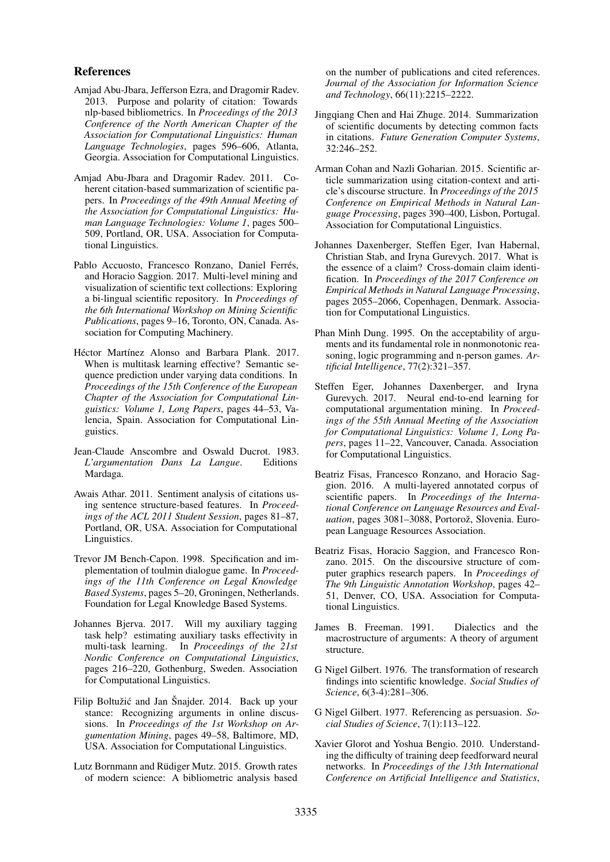#### References

- <span id="page-9-5"></span>Amjad Abu-Jbara, Jefferson Ezra, and Dragomir Radev. 2013. Purpose and polarity of citation: Towards nlp-based bibliometrics. In *Proceedings of the 2013 Conference of the North American Chapter of the Association for Computational Linguistics: Human Language Technologies*, pages 596–606, Atlanta, Georgia. Association for Computational Linguistics.
- <span id="page-9-7"></span>Amjad Abu-Jbara and Dragomir Radev. 2011. Coherent citation-based summarization of scientific papers. In *Proceedings of the 49th Annual Meeting of the Association for Computational Linguistics: Human Language Technologies: Volume 1*, pages 500– 509, Portland, OR, USA. Association for Computational Linguistics.
- <span id="page-9-9"></span>Pablo Accuosto, Francesco Ronzano, Daniel Ferrés, and Horacio Saggion. 2017. Multi-level mining and visualization of scientific text collections: Exploring a bi-lingual scientific repository. In *Proceedings of the 6th International Workshop on Mining Scientific Publications*, pages 9–16, Toronto, ON, Canada. Association for Computing Machinery.
- <span id="page-9-20"></span>Héctor Martínez Alonso and Barbara Plank. 2017. When is multitask learning effective? Semantic sequence prediction under varying data conditions. In *Proceedings of the 15th Conference of the European Chapter of the Association for Computational Linguistics: Volume 1, Long Papers*, pages 44–53, Valencia, Spain. Association for Computational Linguistics.
- <span id="page-9-14"></span>Jean-Claude Anscombre and Oswald Ducrot. 1983. *L'argumentation Dans La Langue*. Editions Mardaga.
- <span id="page-9-6"></span>Awais Athar. 2011. Sentiment analysis of citations using sentence structure-based features. In *Proceedings of the ACL 2011 Student Session*, pages 81–87, Portland, OR, USA. Association for Computational Linguistics.
- <span id="page-9-17"></span>Trevor JM Bench-Capon. 1998. Specification and implementation of toulmin dialogue game. In *Proceedings of the 11th Conference on Legal Knowledge Based Systems*, pages 5–20, Groningen, Netherlands. Foundation for Legal Knowledge Based Systems.
- <span id="page-9-18"></span>Johannes Bjerva. 2017. Will my auxiliary tagging task help? estimating auxiliary tasks effectivity in multi-task learning. In *Proceedings of the 21st Nordic Conference on Computational Linguistics*, pages 216–220, Gothenburg, Sweden. Association for Computational Linguistics.
- <span id="page-9-11"></span>Filip Boltužić and Jan Šnajder. 2014. Back up your stance: Recognizing arguments in online discussions. In *Proceedings of the 1st Workshop on Argumentation Mining*, pages 49–58, Baltimore, MD, USA. Association for Computational Linguistics.
- <span id="page-9-1"></span>Lutz Bornmann and Rüdiger Mutz. 2015. Growth rates of modern science: A bibliometric analysis based

on the number of publications and cited references. *Journal of the Association for Information Science and Technology*, 66(11):2215–2222.

- <span id="page-9-8"></span>Jingqiang Chen and Hai Zhuge. 2014. Summarization of scientific documents by detecting common facts in citations. *Future Generation Computer Systems*, 32:246–252.
- <span id="page-9-2"></span>Arman Cohan and Nazli Goharian. 2015. Scientific article summarization using citation-context and article's discourse structure. In *Proceedings of the 2015 Conference on Empirical Methods in Natural Language Processing*, pages 390–400, Lisbon, Portugal. Association for Computational Linguistics.
- <span id="page-9-10"></span>Johannes Daxenberger, Steffen Eger, Ivan Habernal, Christian Stab, and Iryna Gurevych. 2017. What is the essence of a claim? Cross-domain claim identification. In *Proceedings of the 2017 Conference on Empirical Methods in Natural Language Processing*, pages 2055–2066, Copenhagen, Denmark. Association for Computational Linguistics.
- <span id="page-9-15"></span>Phan Minh Dung. 1995. On the acceptability of arguments and its fundamental role in nonmonotonic reasoning, logic programming and n-person games. *Artificial Intelligence*, 77(2):321–357.
- <span id="page-9-12"></span>Steffen Eger, Johannes Daxenberger, and Iryna Gurevych. 2017. Neural end-to-end learning for computational argumentation mining. In *Proceedings of the 55th Annual Meeting of the Association for Computational Linguistics: Volume 1, Long Papers*, pages 11–22, Vancouver, Canada. Association for Computational Linguistics.
- <span id="page-9-3"></span>Beatriz Fisas, Francesco Ronzano, and Horacio Saggion. 2016. A multi-layered annotated corpus of scientific papers. In *Proceedings of the International Conference on Language Resources and Eval*uation, pages 3081–3088, Portorož, Slovenia. European Language Resources Association.
- <span id="page-9-13"></span>Beatriz Fisas, Horacio Saggion, and Francesco Ronzano. 2015. On the discoursive structure of computer graphics research papers. In *Proceedings of The 9th Linguistic Annotation Workshop*, pages 42– 51, Denver, CO, USA. Association for Computational Linguistics.
- <span id="page-9-16"></span>James B. Freeman. 1991. Dialectics and the macrostructure of arguments: A theory of argument structure.
- <span id="page-9-4"></span>G Nigel Gilbert. 1976. The transformation of research findings into scientific knowledge. *Social Studies of Science*, 6(3-4):281–306.
- <span id="page-9-0"></span>G Nigel Gilbert. 1977. Referencing as persuasion. *Social Studies of Science*, 7(1):113–122.
- <span id="page-9-19"></span>Xavier Glorot and Yoshua Bengio. 2010. Understanding the difficulty of training deep feedforward neural networks. In *Proceedings of the 13th International Conference on Artificial Intelligence and Statistics*,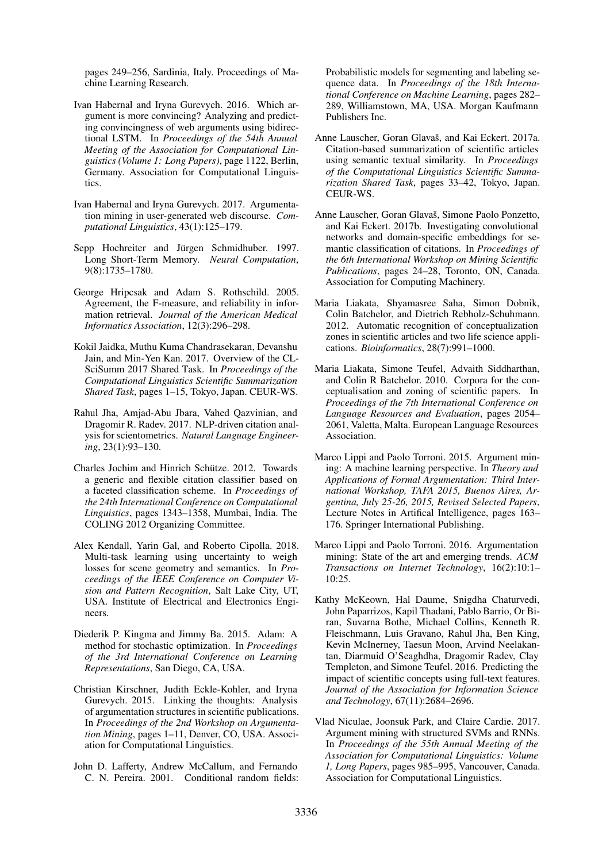pages 249–256, Sardinia, Italy. Proceedings of Machine Learning Research.

- <span id="page-10-13"></span>Ivan Habernal and Iryna Gurevych. 2016. Which argument is more convincing? Analyzing and predicting convincingness of web arguments using bidirectional LSTM. In *Proceedings of the 54th Annual Meeting of the Association for Computational Linguistics (Volume 1: Long Papers)*, page 1122, Berlin, Germany. Association for Computational Linguistics.
- <span id="page-10-5"></span>Ivan Habernal and Iryna Gurevych. 2017. Argumentation mining in user-generated web discourse. *Computational Linguistics*, 43(1):125–179.
- <span id="page-10-16"></span>Sepp Hochreiter and Jürgen Schmidhuber. 1997. Long Short-Term Memory. *Neural Computation*, 9(8):1735–1780.
- <span id="page-10-15"></span>George Hripcsak and Adam S. Rothschild. 2005. Agreement, the F-measure, and reliability in information retrieval. *Journal of the American Medical Informatics Association*, 12(3):296–298.
- <span id="page-10-9"></span>Kokil Jaidka, Muthu Kuma Chandrasekaran, Devanshu Jain, and Min-Yen Kan. 2017. Overview of the CL-SciSumm 2017 Shared Task. In *Proceedings of the Computational Linguistics Scientific Summarization Shared Task*, pages 1–15, Tokyo, Japan. CEUR-WS.
- <span id="page-10-0"></span>Rahul Jha, Amjad-Abu Jbara, Vahed Qazvinian, and Dragomir R. Radev. 2017. NLP-driven citation analysis for scientometrics. *Natural Language Engineering*, 23(1):93–130.
- <span id="page-10-8"></span>Charles Jochim and Hinrich Schütze. 2012. Towards a generic and flexible citation classifier based on a faceted classification scheme. In *Proceedings of the 24th International Conference on Computational Linguistics*, pages 1343–1358, Mumbai, India. The COLING 2012 Organizing Committee.
- <span id="page-10-6"></span>Alex Kendall, Yarin Gal, and Roberto Cipolla. 2018. Multi-task learning using uncertainty to weigh losses for scene geometry and semantics. In *Proceedings of the IEEE Conference on Computer Vision and Pattern Recognition*, Salt Lake City, UT, USA. Institute of Electrical and Electronics Engineers.
- <span id="page-10-17"></span>Diederik P. Kingma and Jimmy Ba. 2015. Adam: A method for stochastic optimization. In *Proceedings of the 3rd International Conference on Learning Representations*, San Diego, CA, USA.
- <span id="page-10-4"></span>Christian Kirschner, Judith Eckle-Kohler, and Iryna Gurevych. 2015. Linking the thoughts: Analysis of argumentation structures in scientific publications. In *Proceedings of the 2nd Workshop on Argumentation Mining*, pages 1–11, Denver, CO, USA. Association for Computational Linguistics.
- <span id="page-10-18"></span>John D. Lafferty, Andrew McCallum, and Fernando C. N. Pereira. 2001. Conditional random fields:

Probabilistic models for segmenting and labeling sequence data. In *Proceedings of the 18th International Conference on Machine Learning*, pages 282– 289, Williamstown, MA, USA. Morgan Kaufmann Publishers Inc.

- <span id="page-10-10"></span>Anne Lauscher, Goran Glavaš, and Kai Eckert. 2017a. Citation-based summarization of scientific articles using semantic textual similarity. In *Proceedings of the Computational Linguistics Scientific Summarization Shared Task*, pages 33–42, Tokyo, Japan. CEUR-WS.
- <span id="page-10-1"></span>Anne Lauscher, Goran Glavaš, Simone Paolo Ponzetto, and Kai Eckert. 2017b. Investigating convolutional networks and domain-specific embeddings for semantic classification of citations. In *Proceedings of the 6th International Workshop on Mining Scientific Publications*, pages 24–28, Toronto, ON, Canada. Association for Computing Machinery.
- <span id="page-10-7"></span>Maria Liakata, Shyamasree Saha, Simon Dobnik, Colin Batchelor, and Dietrich Rebholz-Schuhmann. 2012. Automatic recognition of conceptualization zones in scientific articles and two life science applications. *Bioinformatics*, 28(7):991–1000.
- <span id="page-10-2"></span>Maria Liakata, Simone Teufel, Advaith Siddharthan, and Colin R Batchelor. 2010. Corpora for the conceptualisation and zoning of scientific papers. In *Proceedings of the 7th International Conference on Language Resources and Evaluation*, pages 2054– 2061, Valetta, Malta. European Language Resources Association.
- <span id="page-10-11"></span>Marco Lippi and Paolo Torroni. 2015. Argument mining: A machine learning perspective. In *Theory and Applications of Formal Argumentation: Third International Workshop, TAFA 2015, Buenos Aires, Argentina, July 25-26, 2015, Revised Selected Papers*, Lecture Notes in Artifical Intelligence, pages 163– 176. Springer International Publishing.
- <span id="page-10-12"></span>Marco Lippi and Paolo Torroni. 2016. Argumentation mining: State of the art and emerging trends. *ACM Transactions on Internet Technology*, 16(2):10:1– 10:25.
- <span id="page-10-3"></span>Kathy McKeown, Hal Daume, Snigdha Chaturvedi, John Paparrizos, Kapil Thadani, Pablo Barrio, Or Biran, Suvarna Bothe, Michael Collins, Kenneth R. Fleischmann, Luis Gravano, Rahul Jha, Ben King, Kevin McInerney, Taesun Moon, Arvind Neelakantan, Diarmuid O'Seaghdha, Dragomir Radev, Clay Templeton, and Simone Teufel. 2016. Predicting the impact of scientific concepts using full-text features. *Journal of the Association for Information Science and Technology*, 67(11):2684–2696.
- <span id="page-10-14"></span>Vlad Niculae, Joonsuk Park, and Claire Cardie. 2017. Argument mining with structured SVMs and RNNs. In *Proceedings of the 55th Annual Meeting of the Association for Computational Linguistics: Volume 1, Long Papers*, pages 985–995, Vancouver, Canada. Association for Computational Linguistics.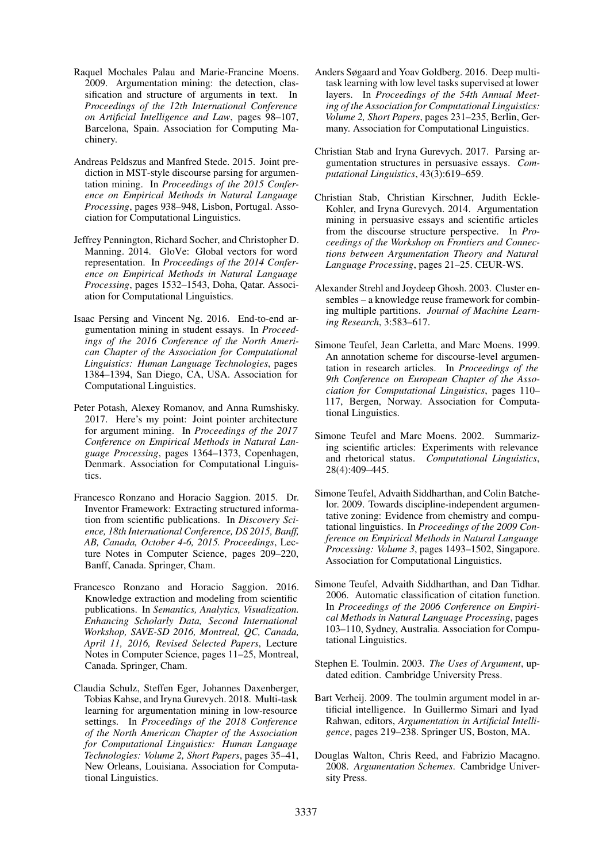- <span id="page-11-2"></span>Raquel Mochales Palau and Marie-Francine Moens. 2009. Argumentation mining: the detection, classification and structure of arguments in text. In *Proceedings of the 12th International Conference on Artificial Intelligence and Law*, pages 98–107, Barcelona, Spain. Association for Computing Machinery.
- <span id="page-11-8"></span>Andreas Peldszus and Manfred Stede. 2015. Joint prediction in MST-style discourse parsing for argumentation mining. In *Proceedings of the 2015 Conference on Empirical Methods in Natural Language Processing*, pages 938–948, Lisbon, Portugal. Association for Computational Linguistics.
- <span id="page-11-18"></span>Jeffrey Pennington, Richard Socher, and Christopher D. Manning. 2014. GloVe: Global vectors for word representation. In *Proceedings of the 2014 Conference on Empirical Methods in Natural Language Processing*, pages 1532–1543, Doha, Qatar. Association for Computational Linguistics.
- <span id="page-11-9"></span>Isaac Persing and Vincent Ng. 2016. End-to-end argumentation mining in student essays. In *Proceedings of the 2016 Conference of the North American Chapter of the Association for Computational Linguistics: Human Language Technologies*, pages 1384–1394, San Diego, CA, USA. Association for Computational Linguistics.
- <span id="page-11-12"></span>Peter Potash, Alexey Romanov, and Anna Rumshisky. 2017. Here's my point: Joint pointer architecture for argument mining. In *Proceedings of the 2017 Conference on Empirical Methods in Natural Language Processing*, pages 1364–1373, Copenhagen, Denmark. Association for Computational Linguistics.
- <span id="page-11-6"></span>Francesco Ronzano and Horacio Saggion. 2015. Dr. Inventor Framework: Extracting structured information from scientific publications. In *Discovery Science, 18th International Conference, DS 2015, Banff, AB, Canada, October 4-6, 2015. Proceedings*, Lecture Notes in Computer Science, pages 209–220, Banff, Canada. Springer, Cham.
- <span id="page-11-7"></span>Francesco Ronzano and Horacio Saggion. 2016. Knowledge extraction and modeling from scientific publications. In *Semantics, Analytics, Visualization. Enhancing Scholarly Data, Second International Workshop, SAVE-SD 2016, Montreal, QC, Canada, April 11, 2016, Revised Selected Papers*, Lecture Notes in Computer Science, pages 11–25, Montreal, Canada. Springer, Cham.
- <span id="page-11-14"></span>Claudia Schulz, Steffen Eger, Johannes Daxenberger, Tobias Kahse, and Iryna Gurevych. 2018. Multi-task learning for argumentation mining in low-resource settings. In *Proceedings of the 2018 Conference of the North American Chapter of the Association for Computational Linguistics: Human Language Technologies: Volume 2, Short Papers*, pages 35–41, New Orleans, Louisiana. Association for Computational Linguistics.
- <span id="page-11-13"></span>Anders Søgaard and Yoav Goldberg. 2016. Deep multitask learning with low level tasks supervised at lower layers. In *Proceedings of the 54th Annual Meeting of the Association for Computational Linguistics: Volume 2, Short Papers*, pages 231–235, Berlin, Germany. Association for Computational Linguistics.
- <span id="page-11-11"></span>Christian Stab and Iryna Gurevych. 2017. Parsing argumentation structures in persuasive essays. *Computational Linguistics*, 43(3):619–659.
- <span id="page-11-10"></span>Christian Stab, Christian Kirschner, Judith Eckle-Kohler, and Iryna Gurevych. 2014. Argumentation mining in persuasive essays and scientific articles from the discourse structure perspective. In *Proceedings of the Workshop on Frontiers and Connections between Argumentation Theory and Natural Language Processing*, pages 21–25. CEUR-WS.
- <span id="page-11-17"></span>Alexander Strehl and Joydeep Ghosh. 2003. Cluster ensembles – a knowledge reuse framework for combining multiple partitions. *Journal of Machine Learning Research*, 3:583–617.
- <span id="page-11-0"></span>Simone Teufel, Jean Carletta, and Marc Moens. 1999. An annotation scheme for discourse-level argumentation in research articles. In *Proceedings of the 9th Conference on European Chapter of the Association for Computational Linguistics*, pages 110– 117, Bergen, Norway. Association for Computational Linguistics.
- <span id="page-11-5"></span>Simone Teufel and Marc Moens. 2002. Summarizing scientific articles: Experiments with relevance and rhetorical status. *Computational Linguistics*, 28(4):409–445.
- <span id="page-11-3"></span>Simone Teufel, Advaith Siddharthan, and Colin Batchelor. 2009. Towards discipline-independent argumentative zoning: Evidence from chemistry and computational linguistics. In *Proceedings of the 2009 Conference on Empirical Methods in Natural Language Processing: Volume 3*, pages 1493–1502, Singapore. Association for Computational Linguistics.
- <span id="page-11-4"></span>Simone Teufel, Advaith Siddharthan, and Dan Tidhar. 2006. Automatic classification of citation function. In *Proceedings of the 2006 Conference on Empirical Methods in Natural Language Processing*, pages 103–110, Sydney, Australia. Association for Computational Linguistics.
- <span id="page-11-1"></span>Stephen E. Toulmin. 2003. *The Uses of Argument*, updated edition. Cambridge University Press.
- <span id="page-11-16"></span>Bart Verheij. 2009. The toulmin argument model in artificial intelligence. In Guillermo Simari and Iyad Rahwan, editors, *Argumentation in Artificial Intelligence*, pages 219–238. Springer US, Boston, MA.
- <span id="page-11-15"></span>Douglas Walton, Chris Reed, and Fabrizio Macagno. 2008. *Argumentation Schemes*. Cambridge University Press.